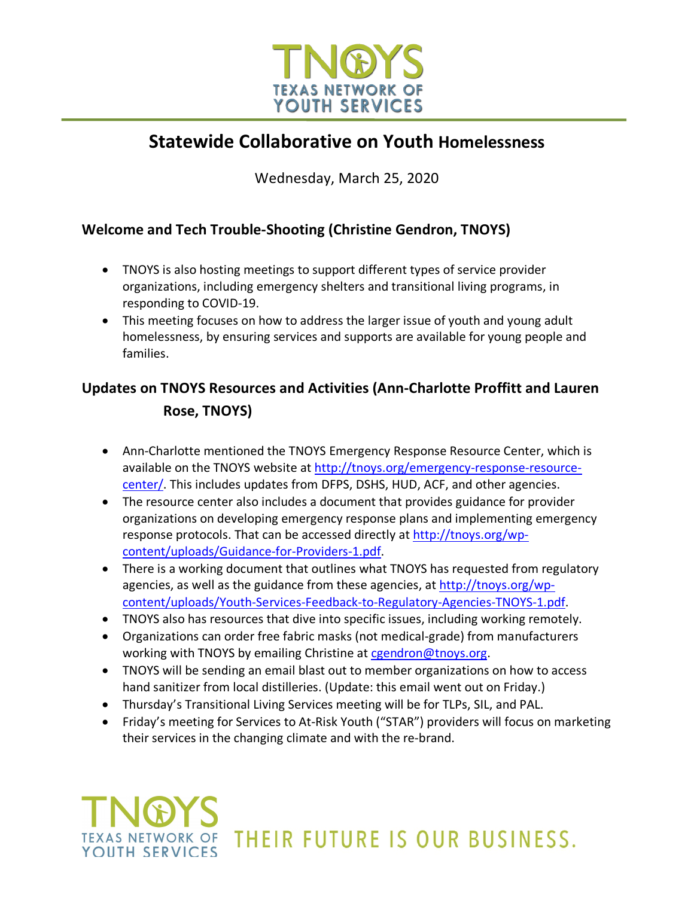

## **Statewide Collaborative on Youth Homelessness**

Wednesday, March 25, 2020

#### **Welcome and Tech Trouble-Shooting (Christine Gendron, TNOYS)**

- TNOYS is also hosting meetings to support different types of service provider organizations, including emergency shelters and transitional living programs, in responding to COVID-19.
- This meeting focuses on how to address the larger issue of youth and young adult homelessness, by ensuring services and supports are available for young people and families.

## **Updates on TNOYS Resources and Activities (Ann-Charlotte Proffitt and Lauren Rose, TNOYS)**

- Ann-Charlotte mentioned the TNOYS Emergency Response Resource Center, which is available on the TNOYS website at http://tnoys.org/emergency-response-resourcecenter/. This includes updates from DFPS, DSHS, HUD, ACF, and other agencies.
- The resource center also includes a document that provides guidance for provider organizations on developing emergency response plans and implementing emergency response protocols. That can be accessed directly at http://tnoys.org/wpcontent/uploads/Guidance-for-Providers-1.pdf.
- There is a working document that outlines what TNOYS has requested from regulatory agencies, as well as the guidance from these agencies, at http://tnoys.org/wpcontent/uploads/Youth-Services-Feedback-to-Regulatory-Agencies-TNOYS-1.pdf.
- TNOYS also has resources that dive into specific issues, including working remotely.
- Organizations can order free fabric masks (not medical-grade) from manufacturers working with TNOYS by emailing Christine at cgendron@tnoys.org.
- TNOYS will be sending an email blast out to member organizations on how to access hand sanitizer from local distilleries. (Update: this email went out on Friday.)
- Thursday's Transitional Living Services meeting will be for TLPs, SIL, and PAL.
- Friday's meeting for Services to At-Risk Youth ("STAR") providers will focus on marketing their services in the changing climate and with the re-brand.

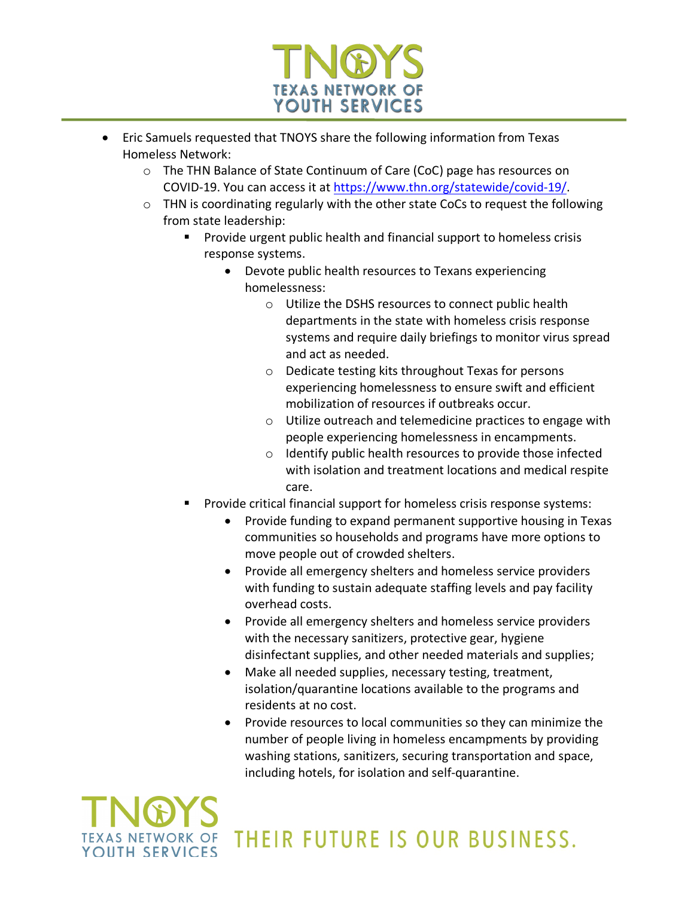

- Eric Samuels requested that TNOYS share the following information from Texas Homeless Network:
	- o The THN Balance of State Continuum of Care (CoC) page has resources on COVID-19. You can access it at https://www.thn.org/statewide/covid-19/.
	- $\circ$  THN is coordinating regularly with the other state CoCs to request the following from state leadership:
		- § Provide urgent public health and financial support to homeless crisis response systems.
			- Devote public health resources to Texans experiencing homelessness:
				- o Utilize the DSHS resources to connect public health departments in the state with homeless crisis response systems and require daily briefings to monitor virus spread and act as needed.
				- o Dedicate testing kits throughout Texas for persons experiencing homelessness to ensure swift and efficient mobilization of resources if outbreaks occur.
				- o Utilize outreach and telemedicine practices to engage with people experiencing homelessness in encampments.
				- o Identify public health resources to provide those infected with isolation and treatment locations and medical respite care.
		- § Provide critical financial support for homeless crisis response systems:
			- Provide funding to expand permanent supportive housing in Texas communities so households and programs have more options to move people out of crowded shelters.
			- Provide all emergency shelters and homeless service providers with funding to sustain adequate staffing levels and pay facility overhead costs.
			- Provide all emergency shelters and homeless service providers with the necessary sanitizers, protective gear, hygiene disinfectant supplies, and other needed materials and supplies;
			- Make all needed supplies, necessary testing, treatment, isolation/quarantine locations available to the programs and residents at no cost.
			- Provide resources to local communities so they can minimize the number of people living in homeless encampments by providing washing stations, sanitizers, securing transportation and space, including hotels, for isolation and self-quarantine.

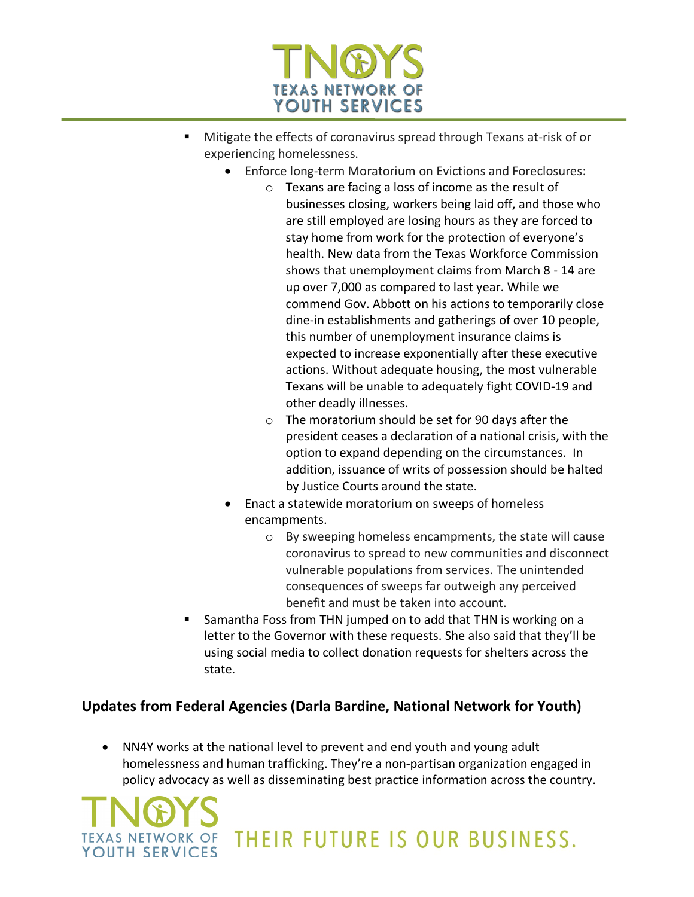

- § Mitigate the effects of coronavirus spread through Texans at-risk of or experiencing homelessness.
	- Enforce long-term Moratorium on Evictions and Foreclosures:
		- o Texans are facing a loss of income as the result of businesses closing, workers being laid off, and those who are still employed are losing hours as they are forced to stay home from work for the protection of everyone's health. New data from the Texas Workforce Commission shows that unemployment claims from March 8 - 14 are up over 7,000 as compared to last year. While we commend Gov. Abbott on his actions to temporarily close dine-in establishments and gatherings of over 10 people, this number of unemployment insurance claims is expected to increase exponentially after these executive actions. Without adequate housing, the most vulnerable Texans will be unable to adequately fight COVID-19 and other deadly illnesses.
		- o The moratorium should be set for 90 days after the president ceases a declaration of a national crisis, with the option to expand depending on the circumstances. In addition, issuance of writs of possession should be halted by Justice Courts around the state.
		- Enact a statewide moratorium on sweeps of homeless encampments.
			- o By sweeping homeless encampments, the state will cause coronavirus to spread to new communities and disconnect vulnerable populations from services. The unintended consequences of sweeps far outweigh any perceived benefit and must be taken into account.
- § Samantha Foss from THN jumped on to add that THN is working on a letter to the Governor with these requests. She also said that they'll be using social media to collect donation requests for shelters across the state.

#### **Updates from Federal Agencies (Darla Bardine, National Network for Youth)**

• NN4Y works at the national level to prevent and end youth and young adult homelessness and human trafficking. They're a non-partisan organization engaged in policy advocacy as well as disseminating best practice information across the country.

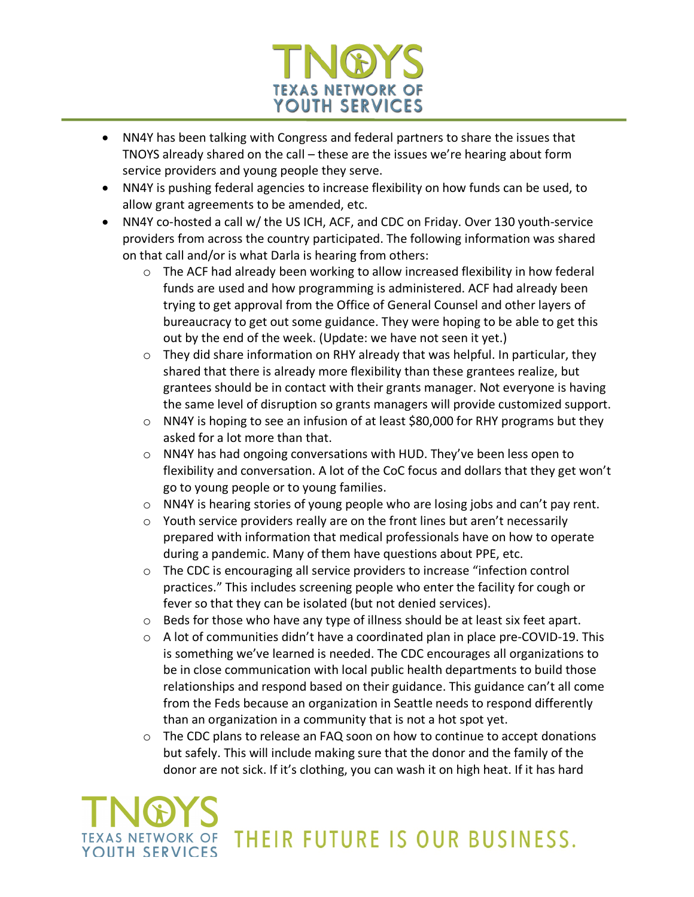

- NN4Y has been talking with Congress and federal partners to share the issues that TNOYS already shared on the call – these are the issues we're hearing about form service providers and young people they serve.
- NN4Y is pushing federal agencies to increase flexibility on how funds can be used, to allow grant agreements to be amended, etc.
- NN4Y co-hosted a call w/ the US ICH, ACF, and CDC on Friday. Over 130 youth-service providers from across the country participated. The following information was shared on that call and/or is what Darla is hearing from others:
	- $\circ$  The ACF had already been working to allow increased flexibility in how federal funds are used and how programming is administered. ACF had already been trying to get approval from the Office of General Counsel and other layers of bureaucracy to get out some guidance. They were hoping to be able to get this out by the end of the week. (Update: we have not seen it yet.)
	- $\circ$  They did share information on RHY already that was helpful. In particular, they shared that there is already more flexibility than these grantees realize, but grantees should be in contact with their grants manager. Not everyone is having the same level of disruption so grants managers will provide customized support.
	- $\circ$  NN4Y is hoping to see an infusion of at least \$80,000 for RHY programs but they asked for a lot more than that.
	- o NN4Y has had ongoing conversations with HUD. They've been less open to flexibility and conversation. A lot of the CoC focus and dollars that they get won't go to young people or to young families.
	- o NN4Y is hearing stories of young people who are losing jobs and can't pay rent.
	- o Youth service providers really are on the front lines but aren't necessarily prepared with information that medical professionals have on how to operate during a pandemic. Many of them have questions about PPE, etc.
	- $\circ$  The CDC is encouraging all service providers to increase "infection control practices." This includes screening people who enter the facility for cough or fever so that they can be isolated (but not denied services).
	- o Beds for those who have any type of illness should be at least six feet apart.
	- $\circ$  A lot of communities didn't have a coordinated plan in place pre-COVID-19. This is something we've learned is needed. The CDC encourages all organizations to be in close communication with local public health departments to build those relationships and respond based on their guidance. This guidance can't all come from the Feds because an organization in Seattle needs to respond differently than an organization in a community that is not a hot spot yet.
	- $\circ$  The CDC plans to release an FAQ soon on how to continue to accept donations but safely. This will include making sure that the donor and the family of the donor are not sick. If it's clothing, you can wash it on high heat. If it has hard

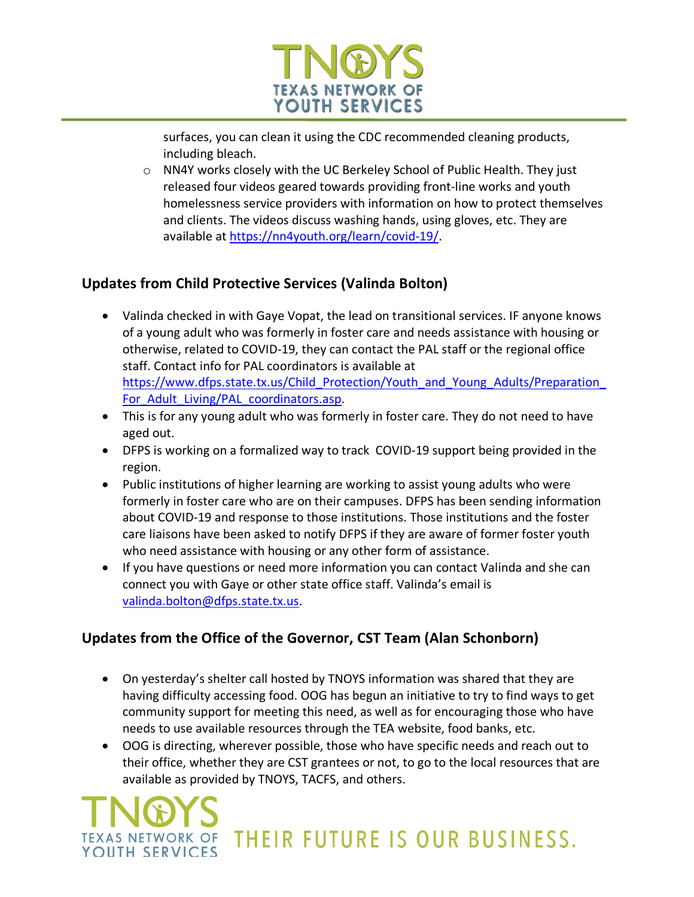

surfaces, you can clean it using the CDC recommended cleaning products, including bleach.

 $\circ$  NN4Y works closely with the UC Berkeley School of Public Health. They just released four videos geared towards providing front-line works and youth homelessness service providers with information on how to protect themselves and clients. The videos discuss washing hands, using gloves, etc. They are available at https://nn4youth.org/learn/covid-19/.

#### **Updates from Child Protective Services (Valinda Bolton)**

- Valinda checked in with Gaye Vopat, the lead on transitional services. IF anyone knows of a young adult who was formerly in foster care and needs assistance with housing or otherwise, related to COVID-19, they can contact the PAL staff or the regional office staff. Contact info for PAL coordinators is available at https://www.dfps.state.tx.us/Child Protection/Youth and Young Adults/Preparation For Adult Living/PAL coordinators.asp.
- This is for any young adult who was formerly in foster care. They do not need to have aged out.
- DFPS is working on a formalized way to track COVID-19 support being provided in the region.
- Public institutions of higher learning are working to assist young adults who were formerly in foster care who are on their campuses. DFPS has been sending information about COVID-19 and response to those institutions. Those institutions and the foster care liaisons have been asked to notify DFPS if they are aware of former foster youth who need assistance with housing or any other form of assistance.
- If you have questions or need more information you can contact Valinda and she can connect you with Gaye or other state office staff. Valinda's email is valinda.bolton@dfps.state.tx.us.

#### **Updates from the Office of the Governor, CST Team (Alan Schonborn)**

- On yesterday's shelter call hosted by TNOYS information was shared that they are having difficulty accessing food. OOG has begun an initiative to try to find ways to get community support for meeting this need, as well as for encouraging those who have needs to use available resources through the TEA website, food banks, etc.
- OOG is directing, wherever possible, those who have specific needs and reach out to their office, whether they are CST grantees or not, to go to the local resources that are available as provided by TNOYS, TACFS, and others.

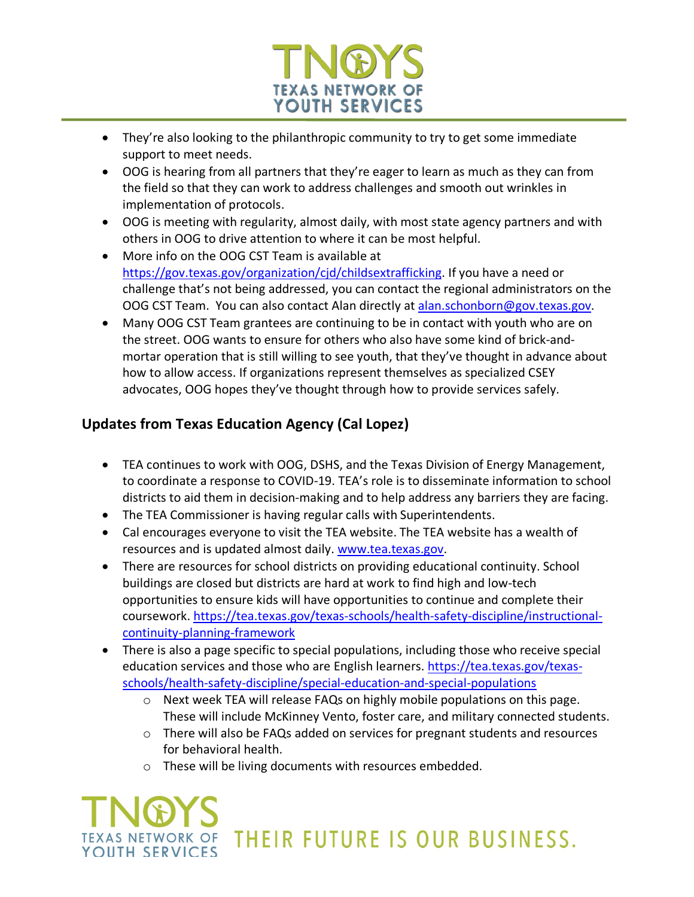

- They're also looking to the philanthropic community to try to get some immediate support to meet needs.
- OOG is hearing from all partners that they're eager to learn as much as they can from the field so that they can work to address challenges and smooth out wrinkles in implementation of protocols.
- OOG is meeting with regularity, almost daily, with most state agency partners and with others in OOG to drive attention to where it can be most helpful.
- More info on the OOG CST Team is available at https://gov.texas.gov/organization/cjd/childsextrafficking. If you have a need or challenge that's not being addressed, you can contact the regional administrators on the OOG CST Team. You can also contact Alan directly at alan.schonborn@gov.texas.gov.
- Many OOG CST Team grantees are continuing to be in contact with youth who are on the street. OOG wants to ensure for others who also have some kind of brick-andmortar operation that is still willing to see youth, that they've thought in advance about how to allow access. If organizations represent themselves as specialized CSEY advocates, OOG hopes they've thought through how to provide services safely.

#### **Updates from Texas Education Agency (Cal Lopez)**

- TEA continues to work with OOG, DSHS, and the Texas Division of Energy Management, to coordinate a response to COVID-19. TEA's role is to disseminate information to school districts to aid them in decision-making and to help address any barriers they are facing.
- The TEA Commissioner is having regular calls with Superintendents.
- Cal encourages everyone to visit the TEA website. The TEA website has a wealth of resources and is updated almost daily. www.tea.texas.gov.
- There are resources for school districts on providing educational continuity. School buildings are closed but districts are hard at work to find high and low-tech opportunities to ensure kids will have opportunities to continue and complete their coursework. https://tea.texas.gov/texas-schools/health-safety-discipline/instructionalcontinuity-planning-framework
- There is also a page specific to special populations, including those who receive special education services and those who are English learners. https://tea.texas.gov/texasschools/health-safety-discipline/special-education-and-special-populations
	- $\circ$  Next week TEA will release FAQs on highly mobile populations on this page. These will include McKinney Vento, foster care, and military connected students.
	- $\circ$  There will also be FAQs added on services for pregnant students and resources for behavioral health.
	- o These will be living documents with resources embedded.

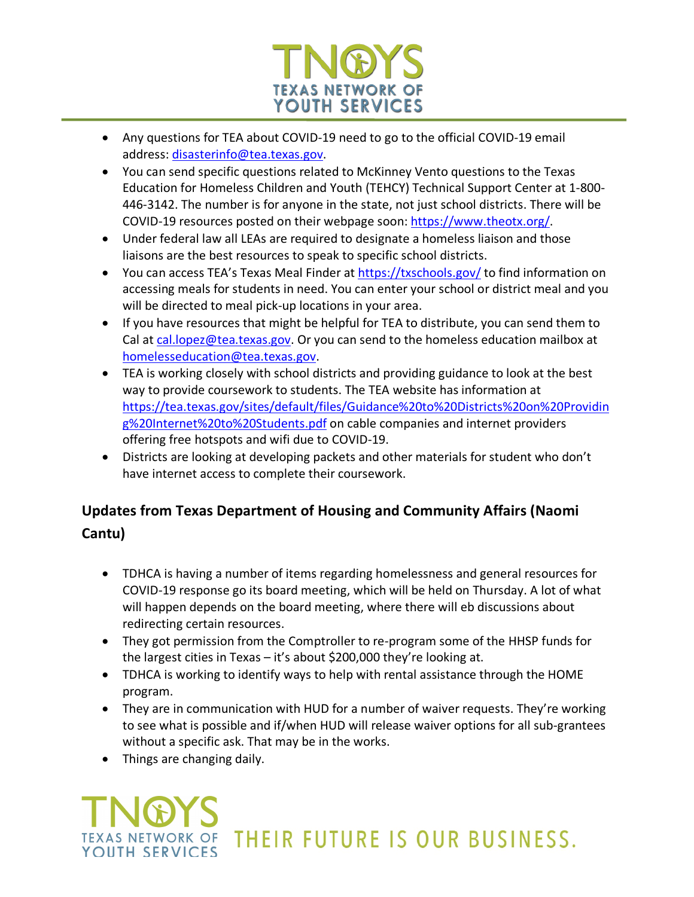

- Any questions for TEA about COVID-19 need to go to the official COVID-19 email address: disasterinfo@tea.texas.gov.
- You can send specific questions related to McKinney Vento questions to the Texas Education for Homeless Children and Youth (TEHCY) Technical Support Center at 1-800- 446-3142. The number is for anyone in the state, not just school districts. There will be COVID-19 resources posted on their webpage soon: https://www.theotx.org/.
- Under federal law all LEAs are required to designate a homeless liaison and those liaisons are the best resources to speak to specific school districts.
- You can access TEA's Texas Meal Finder at https://txschools.gov/ to find information on accessing meals for students in need. You can enter your school or district meal and you will be directed to meal pick-up locations in your area.
- If you have resources that might be helpful for TEA to distribute, you can send them to Cal at cal.lopez@tea.texas.gov</u>. Or you can send to the homeless education mailbox at homelesseducation@tea.texas.gov.
- TEA is working closely with school districts and providing guidance to look at the best way to provide coursework to students. The TEA website has information at https://tea.texas.gov/sites/default/files/Guidance%20to%20Districts%20on%20Providin g%20Internet%20to%20Students.pdf on cable companies and internet providers offering free hotspots and wifi due to COVID-19.
- Districts are looking at developing packets and other materials for student who don't have internet access to complete their coursework.

### **Updates from Texas Department of Housing and Community Affairs (Naomi Cantu)**

- TDHCA is having a number of items regarding homelessness and general resources for COVID-19 response go its board meeting, which will be held on Thursday. A lot of what will happen depends on the board meeting, where there will eb discussions about redirecting certain resources.
- They got permission from the Comptroller to re-program some of the HHSP funds for the largest cities in Texas – it's about \$200,000 they're looking at.
- TDHCA is working to identify ways to help with rental assistance through the HOME program.
- They are in communication with HUD for a number of waiver requests. They're working to see what is possible and if/when HUD will release waiver options for all sub-grantees without a specific ask. That may be in the works.
- Things are changing daily.

# THEIR FUTURE IS OUR BUSINESS. YOUTH SERVICES